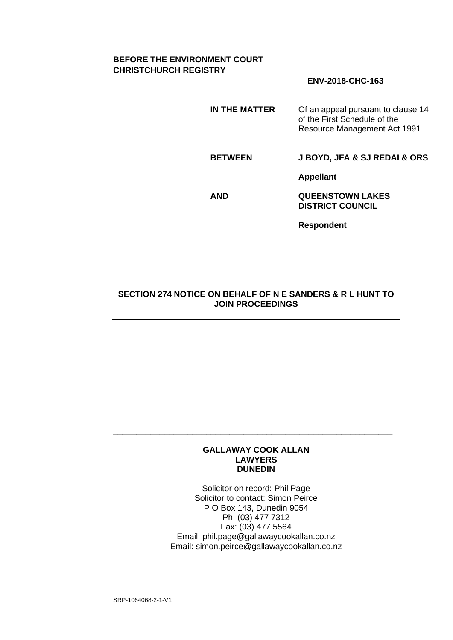# **BEFORE THE ENVIRONMENT COURT CHRISTCHURCH REGISTRY**

# **ENV-2018-CHC-163**

**IN THE MATTER** Of an appeal pursuant to clause 14 of the First Schedule of the Resource Management Act 1991

**BETWEEN J BOYD, JFA & SJ REDAI & ORS**

**Appellant**

**AND QUEENSTOWN LAKES DISTRICT COUNCIL**

**Respondent**

### **SECTION 274 NOTICE ON BEHALF OF N E SANDERS & R L HUNT TO JOIN PROCEEDINGS**

#### **GALLAWAY COOK ALLAN LAWYERS DUNEDIN**

\_\_\_\_\_\_\_\_\_\_\_\_\_\_\_\_\_\_\_\_\_\_\_\_\_\_\_\_\_\_\_\_\_\_\_\_\_\_\_\_\_\_\_\_\_\_\_\_\_\_\_\_\_\_\_\_\_\_\_\_

Solicitor on record: Phil Page Solicitor to contact: Simon Peirce P O Box 143, Dunedin 9054 Ph: (03) 477 7312 Fax: (03) 477 5564 Email: phil.page@gallawaycookallan.co.nz Email: simon.peirce@gallawaycookallan.co.nz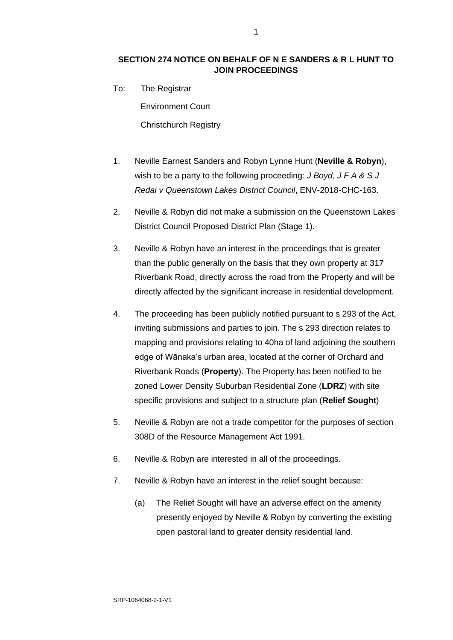# **SECTION 274 NOTICE ON BEHALF OF N E SANDERS & R L HUNT TO JOIN PROCEEDINGS**

To: The Registrar

Environment Court

Christchurch Registry

- 1. Neville Earnest Sanders and Robyn Lynne Hunt (**Neville & Robyn**), wish to be a party to the following proceeding: *J Boyd, J F A & S J Redai v Queenstown Lakes District Council*, ENV-2018-CHC-163.
- 2. Neville & Robyn did not make a submission on the Queenstown Lakes District Council Proposed District Plan (Stage 1).
- 3. Neville & Robyn have an interest in the proceedings that is greater than the public generally on the basis that they own property at 317 Riverbank Road, directly across the road from the Property and will be directly affected by the significant increase in residential development.
- 4. The proceeding has been publicly notified pursuant to s 293 of the Act, inviting submissions and parties to join. The s 293 direction relates to mapping and provisions relating to 40ha of land adjoining the southern edge of Wānaka's urban area, located at the corner of Orchard and Riverbank Roads (**Property**). The Property has been notified to be zoned Lower Density Suburban Residential Zone (**LDRZ**) with site specific provisions and subject to a structure plan (**Relief Sought**)
- 5. Neville & Robyn are not a trade competitor for the purposes of section 308D of the Resource Management Act 1991.
- 6. Neville & Robyn are interested in all of the proceedings.
- 7. Neville & Robyn have an interest in the relief sought because:
	- (a) The Relief Sought will have an adverse effect on the amenity presently enjoyed by Neville & Robyn by converting the existing open pastoral land to greater density residential land.